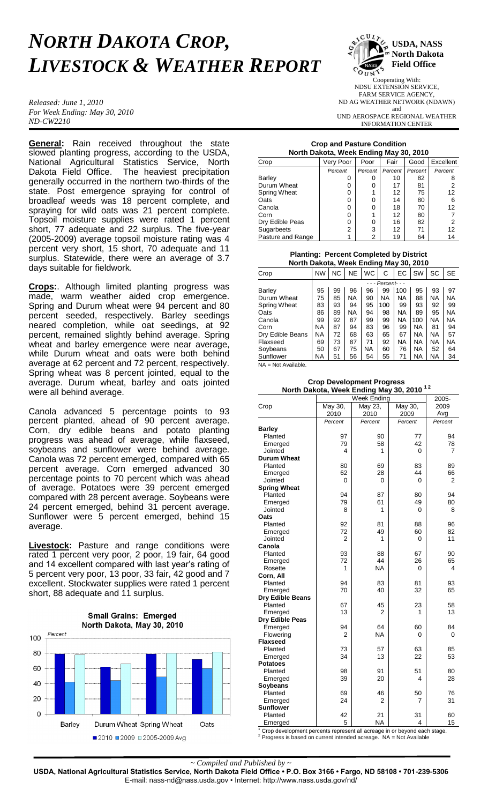## *NORTH DAKOTA CROP, LIVESTOCK & WEATHER REPORT*

*Released: June 1, 2010 For Week Ending: May 30, 2010 ND-CW2210*

**General:** Rain received throughout the state slowed planting progress, according to the USDA, National Agricultural Statistics Service, North Dakota Field Office. The heaviest precipitation generally occurred in the northern two-thirds of the state. Post emergence spraying for control of broadleaf weeds was 18 percent complete, and spraying for wild oats was 21 percent complete. Topsoil moisture supplies were rated 1 percent short, 77 adequate and 22 surplus. The five-year (2005-2009) average topsoil moisture rating was 4 percent very short, 15 short, 70 adequate and 11 surplus. Statewide, there were an average of 3.7 days suitable for fieldwork.

**Crops:**. Although limited planting progress was made, warm weather aided crop emergence. Spring and Durum wheat were 94 percent and 80 percent seeded, respectively. Barley seedings neared completion, while oat seedings, at 92 percent, remained slightly behind average. Spring wheat and barley emergence were near average, while Durum wheat and oats were both behind average at 62 percent and 72 percent, respectively. Spring wheat was 8 percent jointed, equal to the average. Durum wheat, barley and oats jointed were all behind average.

Canola advanced 5 percentage points to 93 percent planted, ahead of 90 percent average. Corn, dry edible beans and potato planting progress was ahead of average, while flaxseed, soybeans and sunflower were behind average. Canola was 72 percent emerged, compared with 65 percent average. Corn emerged advanced 30 percentage points to 70 percent which was ahead of average. Potatoes were 39 percent emerged compared with 28 percent average. Soybeans were 24 percent emerged, behind 31 percent average. Sunflower were 5 percent emerged, behind 15 average.

**Livestock:** Pasture and range conditions were rated 1 percent very poor, 2 poor, 19 fair, 64 good and 14 excellent compared with last year's rating of 5 percent very poor, 13 poor, 33 fair, 42 good and 7 excellent. Stockwater supplies were rated 1 percent short, 88 adequate and 11 surplus.





Cooperating With: NDSU EXTENSION SERVICE, FARM SERVICE AGENCY, ND AG WEATHER NETWORK (NDAWN) and UND AEROSPACE REGIONAL WEATHER INFORMATION CENTER

## **Crop and Pasture Condition North Dakota, Week Ending May 30, 2010**

| Crop              | Very Poor      | Poor    | Fair    | Good    | Excellent |  |  |  |
|-------------------|----------------|---------|---------|---------|-----------|--|--|--|
|                   | Percent        | Percent | Percent | Percent | Percent   |  |  |  |
| <b>Barley</b>     | 0              |         | 10      | 82      |           |  |  |  |
| Durum Wheat       | 0              | O       | 17      | 81      |           |  |  |  |
| Spring Wheat      | 0              |         | 12      | 75      | 12        |  |  |  |
| Oats              | 0              | n       | 14      | 80      | 6         |  |  |  |
| Canola            | 0              | n       | 18      | 70      | 12        |  |  |  |
| Corn              | 0              |         | 12      | 80      |           |  |  |  |
| Dry Edible Peas   | 0              | ი       | 16      | 82      | 2         |  |  |  |
| Sugarbeets        | $\overline{2}$ | 3       | 12      | 71      | 12        |  |  |  |
| Pasture and Range | 1              | 2       | 19      | 64      | 14        |  |  |  |

**Planting: Percent Completed by District North Dakota, Week Ending May 30, 2010**

| Crop             | <b>NW</b> | <b>NC</b>           | <b>NE</b> | <b>WC</b> | C         | EC        | SW  | SC        | <b>SE</b> |
|------------------|-----------|---------------------|-----------|-----------|-----------|-----------|-----|-----------|-----------|
|                  |           | - - - Percent - - - |           |           |           |           |     |           |           |
| Barley           | 95        | 99                  | 96        | 96        | 99        | 100       | 95  | 93        | 97        |
| Durum Wheat      | 75        | 85                  | <b>NA</b> | 90        | <b>NA</b> | <b>NA</b> | 88  | <b>NA</b> | NA        |
| Spring Wheat     | 83        | 93                  | 94        | 95        | 100       | 99        | 93  | 92        | 99        |
| Oats             | 86        | 89                  | <b>NA</b> | 94        | 98        | <b>NA</b> | 89  | 95        | NA        |
| Canola           | 99        | 92                  | 87        | 99        | 99        | <b>NA</b> | 100 | ΝA        | NA        |
| Corn             | <b>NA</b> | 87                  | 94        | 83        | 96        | 99        | NA  | 81        | 94        |
| Dry Edible Beans | <b>NA</b> | 72                  | 68        | 63        | 65        | 67        | NA  | <b>NA</b> | 57        |
| Flaxseed         | 69        | 73                  | 87        | 71        | 92        | <b>NA</b> | NA  | <b>NA</b> | NA        |
| Soybeans         | 50        | 67                  | 75        | NA.       | 60        | 76        | NA  | 52        | 64        |
| Sunflower        | NA        | 51                  | 56        | 54        | 55        | 71        | NA  | <b>NA</b> | 34        |
|                  |           |                     |           |           |           |           |     |           |           |

NA = Not Available.

**Crop Development Progress North Dakota, Week Ending May 30, 2010 1 2**

|                              |                | 2005-                  |         |          |
|------------------------------|----------------|------------------------|---------|----------|
| Crop                         | May 30,        | Week Ending<br>May 23, | May 30, | 2009     |
|                              | 2010           | 2010                   | 2009    | Avg      |
|                              | Percent        | Percent                | Percent | Percent  |
| <b>Barley</b>                |                |                        |         |          |
| Planted                      | 97             | 90                     | 77      | 94       |
| Emerged                      | 79             | 58                     | 42      | 78       |
| Jointed                      | 4              | 1                      | 0       | 7        |
| <b>Durum Wheat</b>           |                |                        |         |          |
| Planted                      | 80             | 69                     | 83      | 89       |
| Emerged                      | 62             | 28                     | 44      | 66       |
| Jointed                      | 0              | 0                      | 0       | 2        |
|                              |                |                        |         |          |
| <b>Spring Wheat</b>          |                |                        |         |          |
| Planted                      | 94<br>79       | 87                     | 80      | 94       |
| Emerged                      |                | 61<br>1                | 49      | 80       |
| Jointed<br>Oats              | 8              |                        | 0       | 8        |
|                              |                |                        |         |          |
| Planted                      | 92<br>72       | 81                     | 88      | 96       |
| Emerged                      | $\overline{2}$ | 49                     | 60      | 82<br>11 |
| Jointed                      |                | 1                      | 0       |          |
| Canola                       |                |                        |         |          |
| Planted                      | 93             | 88                     | 67      | 90       |
| Emerged                      | 72<br>1        | 44                     | 26      | 65       |
| Rosette                      |                | <b>NA</b>              | 0       | 4        |
| Corn, All                    |                |                        |         |          |
| Planted                      | 94             | 83                     | 81      | 93       |
| Emerged                      | 70             | 40                     | 32      | 65       |
| Dry Edible Beans             |                |                        |         |          |
| Planted                      | 67<br>13       | 45<br>2                | 23<br>1 | 58<br>13 |
| Emerged<br>Dry Edible Peas   |                |                        |         |          |
|                              | 94             | 64                     | 60      | 84       |
| Emerged                      | 2              | <b>NA</b>              | 0       | 0        |
| Flowering<br><b>Flaxseed</b> |                |                        |         |          |
| Planted                      | 73             | 57                     | 63      | 85       |
|                              | 34             | 13                     | 22      | 53       |
| Emerged<br><b>Potatoes</b>   |                |                        |         |          |
| Planted                      | 98             | 91                     | 51      | 80       |
| Emerged                      | 39             | 20                     | 4       | 28       |
| Soybeans                     |                |                        |         |          |
| Planted                      | 69             | 46                     | 50      | 76       |
| Emerged                      | 24             | 2                      | 7       | 31       |
| <b>Sunflower</b>             |                |                        |         |          |
| Planted                      | 42             | 21                     | 31      | 60       |
| Emerged                      | 5              | <b>NA</b>              | 4       | 15       |
| $1$ Crop double              |                |                        | J.      |          |

 $1$  Crop development percents represent all acreage in or beyond each stage.  $2$  Progress is based on current intended acreage. NA = Not Available

*~ Compiled and Published by ~*

**USDA, National Agricultural Statistics Service, North Dakota Field Office • P.O. Box 3166 • Fargo, ND 58108 • 701-239-5306** E-mail: nass-nd@nass.usda.gov • Internet: http://www.nass.usda.gov/nd/